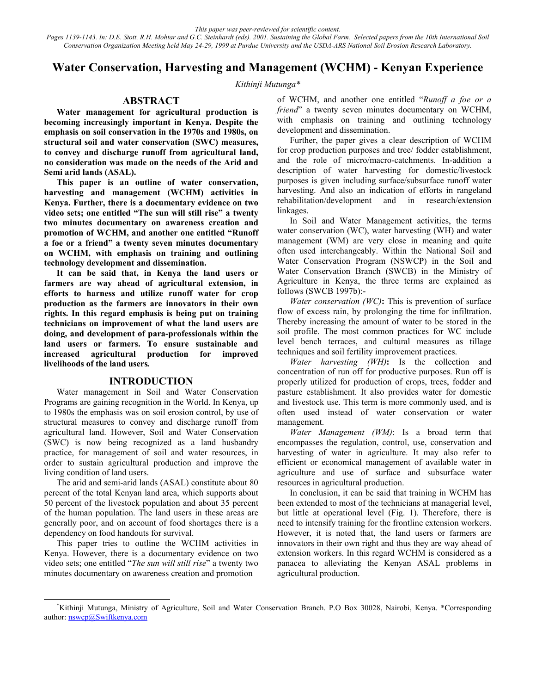*This paper was peer-reviewed for scientific content. Pages 1139-1143. In: D.E. Stott, R.H. Mohtar and G.C. Steinhardt (eds). 2001. Sustaining the Global Farm. Selected papers from the 10th International Soil Conservation Organization Meeting held May 24-29, 1999 at Purdue University and the USDA-ARS National Soil Erosion Research Laboratory.*

# **Water Conservation, Harvesting and Management (WCHM) - Kenyan Experience**

*Kithinji Mutunga\** 

## **ABSTRACT**

**Water management for agricultural production is becoming increasingly important in Kenya. Despite the emphasis on soil conservation in the 1970s and 1980s, on structural soil and water conservation (SWC) measures, to convey and discharge runoff from agricultural land, no consideration was made on the needs of the Arid and Semi arid lands (ASAL).** 

**This paper is an outline of water conservation, harvesting and management (WCHM) activities in Kenya. Further, there is a documentary evidence on two video sets; one entitled "The sun will still rise" a twenty two minutes documentary on awareness creation and promotion of WCHM, and another one entitled "Runoff a foe or a friend" a twenty seven minutes documentary on WCHM, with emphasis on training and outlining technology development and dissemination.** 

**It can be said that, in Kenya the land users or farmers are way ahead of agricultural extension, in efforts to harness and utilize runoff water for crop production as the farmers are innovators in their own rights. In this regard emphasis is being put on training technicians on improvement of what the land users are doing, and development of para-professionals within the land users or farmers. To ensure sustainable and increased agricultural production for improved livelihoods of the land users***.* 

#### **INTRODUCTION**

Water management in Soil and Water Conservation Programs are gaining recognition in the World. In Kenya, up to 1980s the emphasis was on soil erosion control, by use of structural measures to convey and discharge runoff from agricultural land. However, Soil and Water Conservation (SWC) is now being recognized as a land husbandry practice, for management of soil and water resources, in order to sustain agricultural production and improve the living condition of land users.

The arid and semi-arid lands (ASAL) constitute about 80 percent of the total Kenyan land area, which supports about 50 percent of the livestock population and about 35 percent of the human population. The land users in these areas are generally poor, and on account of food shortages there is a dependency on food handouts for survival.

This paper tries to outline the WCHM activities in Kenya. However, there is a documentary evidence on two video sets; one entitled "*The sun will still rise*" a twenty two minutes documentary on awareness creation and promotion

of WCHM, and another one entitled "*Runoff a foe or a friend*" a twenty seven minutes documentary on WCHM, with emphasis on training and outlining technology development and dissemination.

Further, the paper gives a clear description of WCHM for crop production purposes and tree/ fodder establishment, and the role of micro/macro-catchments. In-addition a description of water harvesting for domestic/livestock purposes is given including surface/subsurface runoff water harvesting. And also an indication of efforts in rangeland rehabilitation/development and in research/extension linkages.

In Soil and Water Management activities, the terms water conservation (WC), water harvesting (WH) and water management (WM) are very close in meaning and quite often used interchangeably. Within the National Soil and Water Conservation Program (NSWCP) in the Soil and Water Conservation Branch (SWCB) in the Ministry of Agriculture in Kenya, the three terms are explained as follows (SWCB 1997b):-

*Water conservation (WC)***:** This is prevention of surface flow of excess rain, by prolonging the time for infiltration. Thereby increasing the amount of water to be stored in the soil profile. The most common practices for WC include level bench terraces, and cultural measures as tillage techniques and soil fertility improvement practices.

*Water harvesting (WH)***:** Is the collection and concentration of run off for productive purposes. Run off is properly utilized for production of crops, trees, fodder and pasture establishment. It also provides water for domestic and livestock use. This term is more commonly used, and is often used instead of water conservation or water management.

*Water Management (WM)*: Is a broad term that encompasses the regulation, control, use, conservation and harvesting of water in agriculture. It may also refer to efficient or economical management of available water in agriculture and use of surface and subsurface water resources in agricultural production.

In conclusion, it can be said that training in WCHM has been extended to most of the technicians at managerial level, but little at operational level (Fig. 1). Therefore, there is need to intensify training for the frontline extension workers. However, it is noted that, the land users or farmers are innovators in their own right and thus they are way ahead of extension workers. In this regard WCHM is considered as a panacea to alleviating the Kenyan ASAL problems in agricultural production.

 <sup>\*</sup> Kithinji Mutunga, Ministry of Agriculture, Soil and Water Conservation Branch. P.O Box 30028, Nairobi, Kenya. \*Corresponding author: nswcp@Swiftkenya.com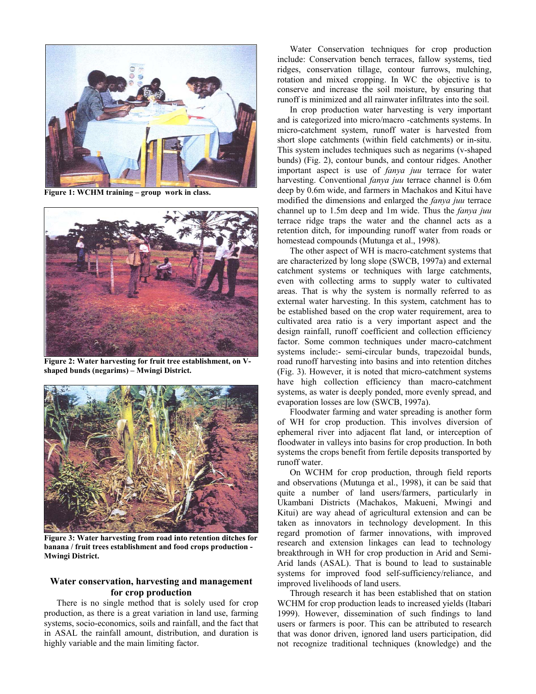

**Figure 1: WCHM training – group work in class.** 



**Figure 2: Water harvesting for fruit tree establishment, on Vshaped bunds (negarims) – Mwingi District.** 



**Figure 3: Water harvesting from road into retention ditches for banana / fruit trees establishment and food crops production - Mwingi District.** 

## **Water conservation, harvesting and management for crop production**

There is no single method that is solely used for crop production, as there is a great variation in land use, farming systems, socio-economics, soils and rainfall, and the fact that in ASAL the rainfall amount, distribution, and duration is highly variable and the main limiting factor.

Water Conservation techniques for crop production include: Conservation bench terraces, fallow systems, tied ridges, conservation tillage, contour furrows, mulching, rotation and mixed cropping. In WC the objective is to conserve and increase the soil moisture, by ensuring that runoff is minimized and all rainwater infiltrates into the soil.

In crop production water harvesting is very important and is categorized into micro/macro -catchments systems. In micro-catchment system, runoff water is harvested from short slope catchments (within field catchments) or in-situ. This system includes techniques such as negarims (v-shaped bunds) (Fig. 2), contour bunds, and contour ridges. Another important aspect is use of *fanya juu* terrace for water harvesting. Conventional *fanya juu* terrace channel is 0.6m deep by 0.6m wide, and farmers in Machakos and Kitui have modified the dimensions and enlarged the *fanya juu* terrace channel up to 1.5m deep and 1m wide. Thus the *fanya juu* terrace ridge traps the water and the channel acts as a retention ditch, for impounding runoff water from roads or homestead compounds (Mutunga et al., 1998).

The other aspect of WH is macro-catchment systems that are characterized by long slope (SWCB, 1997a) and external catchment systems or techniques with large catchments, even with collecting arms to supply water to cultivated areas. That is why the system is normally referred to as external water harvesting. In this system, catchment has to be established based on the crop water requirement, area to cultivated area ratio is a very important aspect and the design rainfall, runoff coefficient and collection efficiency factor. Some common techniques under macro-catchment systems include:- semi-circular bunds, trapezoidal bunds, road runoff harvesting into basins and into retention ditches (Fig. 3). However, it is noted that micro-catchment systems have high collection efficiency than macro-catchment systems, as water is deeply ponded, more evenly spread, and evaporation losses are low (SWCB, 1997a).

Floodwater farming and water spreading is another form of WH for crop production. This involves diversion of ephemeral river into adjacent flat land, or interception of floodwater in valleys into basins for crop production. In both systems the crops benefit from fertile deposits transported by runoff water.

On WCHM for crop production, through field reports and observations (Mutunga et al., 1998), it can be said that quite a number of land users/farmers, particularly in Ukambani Districts (Machakos, Makueni, Mwingi and Kitui) are way ahead of agricultural extension and can be taken as innovators in technology development. In this regard promotion of farmer innovations, with improved research and extension linkages can lead to technology breakthrough in WH for crop production in Arid and Semi-Arid lands (ASAL). That is bound to lead to sustainable systems for improved food self-sufficiency/reliance, and improved livelihoods of land users.

Through research it has been established that on station WCHM for crop production leads to increased yields (Itabari 1999). However, dissemination of such findings to land users or farmers is poor. This can be attributed to research that was donor driven, ignored land users participation, did not recognize traditional techniques (knowledge) and the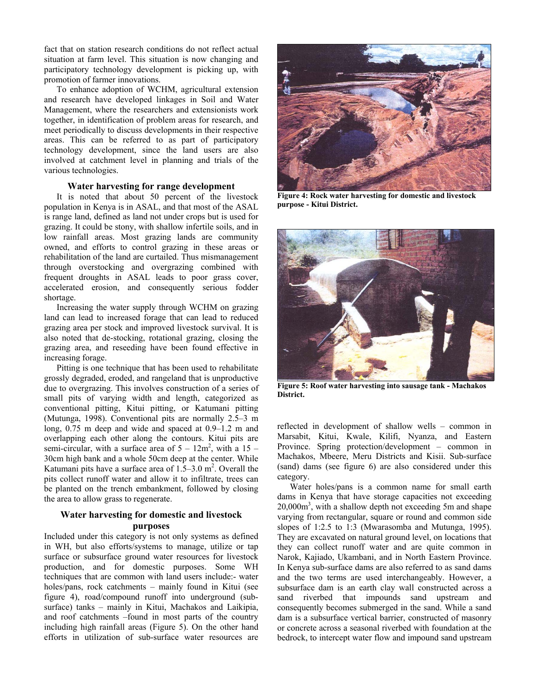fact that on station research conditions do not reflect actual situation at farm level. This situation is now changing and participatory technology development is picking up, with promotion of farmer innovations.

To enhance adoption of WCHM, agricultural extension and research have developed linkages in Soil and Water Management, where the researchers and extensionists work together, in identification of problem areas for research, and meet periodically to discuss developments in their respective areas. This can be referred to as part of participatory technology development, since the land users are also involved at catchment level in planning and trials of the various technologies.

## **Water harvesting for range development**

It is noted that about 50 percent of the livestock population in Kenya is in ASAL, and that most of the ASAL is range land, defined as land not under crops but is used for grazing. It could be stony, with shallow infertile soils, and in low rainfall areas. Most grazing lands are community owned, and efforts to control grazing in these areas or rehabilitation of the land are curtailed. Thus mismanagement through overstocking and overgrazing combined with frequent droughts in ASAL leads to poor grass cover, accelerated erosion, and consequently serious fodder shortage.

Increasing the water supply through WCHM on grazing land can lead to increased forage that can lead to reduced grazing area per stock and improved livestock survival. It is also noted that de-stocking, rotational grazing, closing the grazing area, and reseeding have been found effective in increasing forage.

Pitting is one technique that has been used to rehabilitate grossly degraded, eroded, and rangeland that is unproductive due to overgrazing. This involves construction of a series of small pits of varying width and length, categorized as conventional pitting, Kitui pitting, or Katumani pitting (Mutunga, 1998). Conventional pits are normally 2.5–3 m long, 0.75 m deep and wide and spaced at 0.9–1.2 m and overlapping each other along the contours. Kitui pits are semi-circular, with a surface area of  $5 - 12m^2$ , with a  $15 -$ 30cm high bank and a whole 50cm deep at the center. While Katumani pits have a surface area of  $1.5-3.0$  m<sup>2</sup>. Overall the pits collect runoff water and allow it to infiltrate, trees can be planted on the trench embankment, followed by closing the area to allow grass to regenerate.

## **Water harvesting for domestic and livestock purposes**

Included under this category is not only systems as defined in WH, but also efforts/systems to manage, utilize or tap surface or subsurface ground water resources for livestock production, and for domestic purposes. Some WH techniques that are common with land users include:- water holes/pans, rock catchments – mainly found in Kitui (see figure 4), road/compound runoff into underground (subsurface) tanks – mainly in Kitui, Machakos and Laikipia, and roof catchments –found in most parts of the country including high rainfall areas (Figure 5). On the other hand efforts in utilization of sub-surface water resources are



**Figure 4: Rock water harvesting for domestic and livestock purpose - Kitui District.** 



**Figure 5: Roof water harvesting into sausage tank - Machakos District.** 

reflected in development of shallow wells – common in Marsabit, Kitui, Kwale, Kilifi, Nyanza, and Eastern Province. Spring protection/development – common in Machakos, Mbeere, Meru Districts and Kisii. Sub-surface (sand) dams (see figure 6) are also considered under this category.

Water holes/pans is a common name for small earth dams in Kenya that have storage capacities not exceeding 20,000m3 , with a shallow depth not exceeding 5m and shape varying from rectangular, square or round and common side slopes of 1:2.5 to 1:3 (Mwarasomba and Mutunga, 1995). They are excavated on natural ground level, on locations that they can collect runoff water and are quite common in Narok, Kajiado, Ukambani, and in North Eastern Province. In Kenya sub-surface dams are also referred to as sand dams and the two terms are used interchangeably. However, a subsurface dam is an earth clay wall constructed across a sand riverbed that impounds sand upstream and consequently becomes submerged in the sand. While a sand dam is a subsurface vertical barrier, constructed of masonry or concrete across a seasonal riverbed with foundation at the bedrock, to intercept water flow and impound sand upstream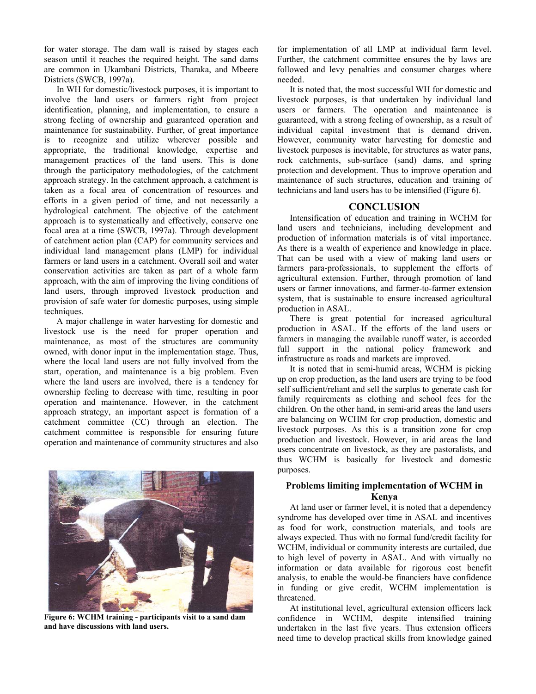for water storage. The dam wall is raised by stages each season until it reaches the required height. The sand dams are common in Ukambani Districts, Tharaka, and Mbeere Districts (SWCB, 1997a).

In WH for domestic/livestock purposes, it is important to involve the land users or farmers right from project identification, planning, and implementation, to ensure a strong feeling of ownership and guaranteed operation and maintenance for sustainability. Further, of great importance is to recognize and utilize wherever possible and appropriate, the traditional knowledge, expertise and management practices of the land users. This is done through the participatory methodologies, of the catchment approach strategy. In the catchment approach, a catchment is taken as a focal area of concentration of resources and efforts in a given period of time, and not necessarily a hydrological catchment. The objective of the catchment approach is to systematically and effectively, conserve one focal area at a time (SWCB, 1997a). Through development of catchment action plan (CAP) for community services and individual land management plans (LMP) for individual farmers or land users in a catchment. Overall soil and water conservation activities are taken as part of a whole farm approach, with the aim of improving the living conditions of land users, through improved livestock production and provision of safe water for domestic purposes, using simple techniques.

A major challenge in water harvesting for domestic and livestock use is the need for proper operation and maintenance, as most of the structures are community owned, with donor input in the implementation stage. Thus, where the local land users are not fully involved from the start, operation, and maintenance is a big problem. Even where the land users are involved, there is a tendency for ownership feeling to decrease with time, resulting in poor operation and maintenance. However, in the catchment approach strategy, an important aspect is formation of a catchment committee (CC) through an election. The catchment committee is responsible for ensuring future operation and maintenance of community structures and also



**Figure 6: WCHM training - participants visit to a sand dam and have discussions with land users.** 

for implementation of all LMP at individual farm level. Further, the catchment committee ensures the by laws are followed and levy penalties and consumer charges where needed.

It is noted that, the most successful WH for domestic and livestock purposes, is that undertaken by individual land users or farmers. The operation and maintenance is guaranteed, with a strong feeling of ownership, as a result of individual capital investment that is demand driven. However, community water harvesting for domestic and livestock purposes is inevitable, for structures as water pans, rock catchments, sub-surface (sand) dams, and spring protection and development. Thus to improve operation and maintenance of such structures, education and training of technicians and land users has to be intensified (Figure 6).

## **CONCLUSION**

Intensification of education and training in WCHM for land users and technicians, including development and production of information materials is of vital importance. As there is a wealth of experience and knowledge in place. That can be used with a view of making land users or farmers para-professionals, to supplement the efforts of agricultural extension. Further, through promotion of land users or farmer innovations, and farmer-to-farmer extension system, that is sustainable to ensure increased agricultural production in ASAL.

There is great potential for increased agricultural production in ASAL. If the efforts of the land users or farmers in managing the available runoff water, is accorded full support in the national policy framework and infrastructure as roads and markets are improved.

It is noted that in semi-humid areas, WCHM is picking up on crop production, as the land users are trying to be food self sufficient/reliant and sell the surplus to generate cash for family requirements as clothing and school fees for the children. On the other hand, in semi-arid areas the land users are balancing on WCHM for crop production, domestic and livestock purposes. As this is a transition zone for crop production and livestock. However, in arid areas the land users concentrate on livestock, as they are pastoralists, and thus WCHM is basically for livestock and domestic purposes.

## **Problems limiting implementation of WCHM in Kenya**

At land user or farmer level, it is noted that a dependency syndrome has developed over time in ASAL and incentives as food for work, construction materials, and tools are always expected. Thus with no formal fund/credit facility for WCHM, individual or community interests are curtailed, due to high level of poverty in ASAL. And with virtually no information or data available for rigorous cost benefit analysis, to enable the would-be financiers have confidence in funding or give credit, WCHM implementation is threatened.

At institutional level, agricultural extension officers lack confidence in WCHM, despite intensified training undertaken in the last five years. Thus extension officers need time to develop practical skills from knowledge gained